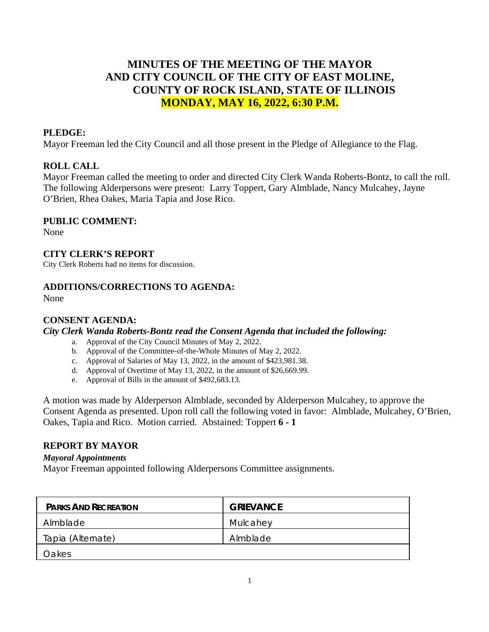# **MINUTES OF THE MEETING OF THE MAYOR AND CITY COUNCIL OF THE CITY OF EAST MOLINE, COUNTY OF ROCK ISLAND, STATE OF ILLINOIS MONDAY, MAY 16, 2022, 6:30 P.M.**

### **PLEDGE:**

Mayor Freeman led the City Council and all those present in the Pledge of Allegiance to the Flag.

## **ROLL CALL**

Mayor Freeman called the meeting to order and directed City Clerk Wanda Roberts-Bontz, to call the roll. The following Alderpersons were present: Larry Toppert, Gary Almblade, Nancy Mulcahey, Jayne O'Brien, Rhea Oakes, Maria Tapia and Jose Rico.

### **PUBLIC COMMENT:**

None

### **CITY CLERK'S REPORT**

City Clerk Roberts had no items for discussion.

## **ADDITIONS/CORRECTIONS TO AGENDA:**

None

### **CONSENT AGENDA:**

*City Clerk Wanda Roberts-Bontz read the Consent Agenda that included the following:*

- a. Approval of the City Council Minutes of May 2, 2022.
- b. Approval of the Committee-of-the-Whole Minutes of May 2, 2022.
- c. Approval of Salaries of May 13, 2022, in the amount of \$423,981.38.
- d. Approval of Overtime of May 13, 2022, in the amount of \$26,669.99.
- e. Approval of Bills in the amount of \$492,683.13.

A motion was made by Alderperson Almblade, seconded by Alderperson Mulcahey, to approve the Consent Agenda as presented. Upon roll call the following voted in favor: Almblade, Mulcahey, O'Brien, Oakes, Tapia and Rico. Motion carried. Abstained: Toppert **6 - 1**

### **REPORT BY MAYOR**

#### *Mayoral Appointments*

Mayor Freeman appointed following Alderpersons Committee assignments.

| <b>PARKS AND RECREATION</b> | <b>GRIEVANCE</b> |
|-----------------------------|------------------|
| Almblade                    | Mulcahey         |
| Tapia (Alternate)           | Almblade         |
| Oakes                       |                  |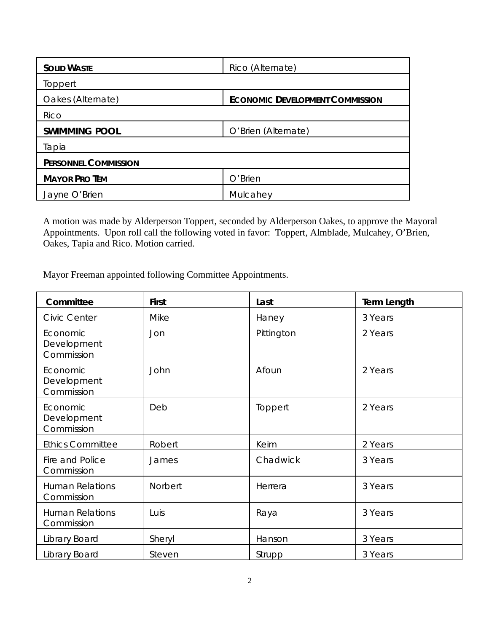| <b>SOLID WASTE</b>          | Rico (Alternate)                       |  |  |  |
|-----------------------------|----------------------------------------|--|--|--|
| Toppert                     |                                        |  |  |  |
| Oakes (Alternate)           | <b>ECONOMIC DEVELOPMENT COMMISSION</b> |  |  |  |
| Rico                        |                                        |  |  |  |
| <b>SWIMMING POOL</b>        | O'Brien (Alternate)                    |  |  |  |
| Tapia                       |                                        |  |  |  |
| <b>PERSONNEL COMMISSION</b> |                                        |  |  |  |
| <b>MAYOR PRO TEM</b>        | O'Brien                                |  |  |  |
| Jayne O'Brien               | Mulcahey                               |  |  |  |

A motion was made by Alderperson Toppert, seconded by Alderperson Oakes, to approve the Mayoral Appointments. Upon roll call the following voted in favor: Toppert, Almblade, Mulcahey, O'Brien, Oakes, Tapia and Rico. Motion carried.

Mayor Freeman appointed following Committee Appointments.

| Committee                             | <b>First</b> | Last       | <b>Term Length</b> |
|---------------------------------------|--------------|------------|--------------------|
| <b>Civic Center</b>                   | Mike         | Haney      | 3 Years            |
| Economic<br>Development<br>Commission | Jon          | Pittington | 2 Years            |
| Economic<br>Development<br>Commission | John         | Afoun      | 2 Years            |
| Economic<br>Development<br>Commission | Deb          | Toppert    | 2 Years            |
| <b>Ethics Committee</b>               | Robert       | Keim       | 2 Years            |
| Fire and Police<br>Commission         | James        | Chadwick   | 3 Years            |
| <b>Human Relations</b><br>Commission  | Norbert      | Herrera    | 3 Years            |
| <b>Human Relations</b><br>Commission  | Luis         | Raya       | 3 Years            |
| Library Board                         | Sheryl       | Hanson     | 3 Years            |
| Library Board                         | Steven       | Strupp     | 3 Years            |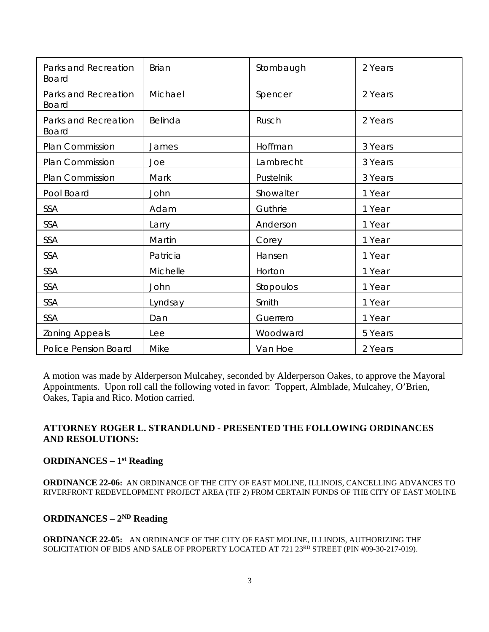| Parks and Recreation<br>Board        | <b>Brian</b> | Stombaugh | 2 Years |
|--------------------------------------|--------------|-----------|---------|
| Parks and Recreation<br><b>Board</b> | Michael      | Spencer   | 2 Years |
| Parks and Recreation<br><b>Board</b> | Belinda      | Rusch     | 2 Years |
| Plan Commission                      | James        | Hoffman   | 3 Years |
| Plan Commission                      | Joe          | Lambrecht | 3 Years |
| Plan Commission                      | Mark         | Pustelnik | 3 Years |
| Pool Board                           | John         | Showalter | 1 Year  |
| SSA                                  | Adam         | Guthrie   | 1 Year  |
| SSA                                  | Larry        | Anderson  | 1 Year  |
| SSA                                  | Martin       | Corey     | 1 Year  |
| SSA                                  | Patricia     | Hansen    | 1 Year  |
| SSA                                  | Michelle     | Horton    | 1 Year  |
| SSA                                  | John         | Stopoulos | 1 Year  |
| SSA                                  | Lyndsay      | Smith     | 1 Year  |
| SSA                                  | Dan          | Guerrero  | 1 Year  |
| Zoning Appeals                       | Lee          | Woodward  | 5 Years |
| Police Pension Board                 | Mike         | Van Hoe   | 2 Years |

A motion was made by Alderperson Mulcahey, seconded by Alderperson Oakes, to approve the Mayoral Appointments. Upon roll call the following voted in favor: Toppert, Almblade, Mulcahey, O'Brien, Oakes, Tapia and Rico. Motion carried.

# **ATTORNEY ROGER L. STRANDLUND - PRESENTED THE FOLLOWING ORDINANCES AND RESOLUTIONS:**

## **ORDINANCES – 1st Reading**

**ORDINANCE 22-06:** AN ORDINANCE OF THE CITY OF EAST MOLINE, ILLINOIS, CANCELLING ADVANCES TO RIVERFRONT REDEVELOPMENT PROJECT AREA (TIF 2) FROM CERTAIN FUNDS OF THE CITY OF EAST MOLINE

### **ORDINANCES – 2ND Reading**

**ORDINANCE 22-05:** AN ORDINANCE OF THE CITY OF EAST MOLINE, ILLINOIS, AUTHORIZING THE SOLICITATION OF BIDS AND SALE OF PROPERTY LOCATED AT 721 23RD STREET (PIN #09-30-217-019).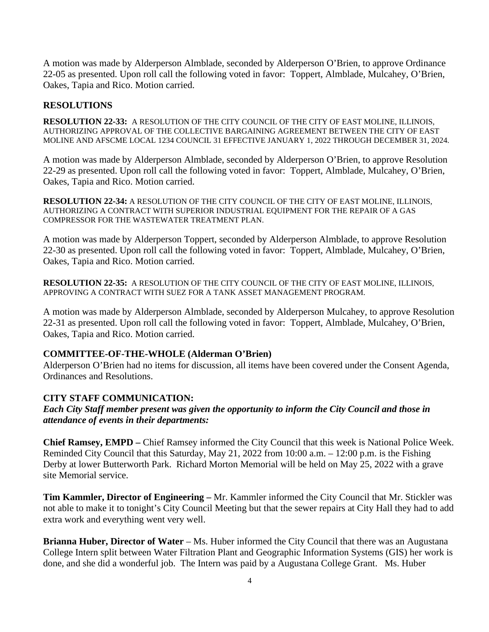A motion was made by Alderperson Almblade, seconded by Alderperson O'Brien, to approve Ordinance 22-05 as presented. Upon roll call the following voted in favor: Toppert, Almblade, Mulcahey, O'Brien, Oakes, Tapia and Rico. Motion carried.

### **RESOLUTIONS**

**RESOLUTION 22-33:** A RESOLUTION OF THE CITY COUNCIL OF THE CITY OF EAST MOLINE, ILLINOIS, AUTHORIZING APPROVAL OF THE COLLECTIVE BARGAINING AGREEMENT BETWEEN THE CITY OF EAST MOLINE AND AFSCME LOCAL 1234 COUNCIL 31 EFFECTIVE JANUARY 1, 2022 THROUGH DECEMBER 31, 2024.

A motion was made by Alderperson Almblade, seconded by Alderperson O'Brien, to approve Resolution 22-29 as presented. Upon roll call the following voted in favor: Toppert, Almblade, Mulcahey, O'Brien, Oakes, Tapia and Rico. Motion carried.

**RESOLUTION 22-34:** A RESOLUTION OF THE CITY COUNCIL OF THE CITY OF EAST MOLINE, ILLINOIS, AUTHORIZING A CONTRACT WITH SUPERIOR INDUSTRIAL EQUIPMENT FOR THE REPAIR OF A GAS COMPRESSOR FOR THE WASTEWATER TREATMENT PLAN.

A motion was made by Alderperson Toppert, seconded by Alderperson Almblade, to approve Resolution 22-30 as presented. Upon roll call the following voted in favor: Toppert, Almblade, Mulcahey, O'Brien, Oakes, Tapia and Rico. Motion carried.

**RESOLUTION 22-35:** A RESOLUTION OF THE CITY COUNCIL OF THE CITY OF EAST MOLINE, ILLINOIS, APPROVING A CONTRACT WITH SUEZ FOR A TANK ASSET MANAGEMENT PROGRAM.

A motion was made by Alderperson Almblade, seconded by Alderperson Mulcahey, to approve Resolution 22-31 as presented. Upon roll call the following voted in favor: Toppert, Almblade, Mulcahey, O'Brien, Oakes, Tapia and Rico. Motion carried.

### **COMMITTEE-OF-THE-WHOLE (Alderman O'Brien)**

Alderperson O'Brien had no items for discussion, all items have been covered under the Consent Agenda, Ordinances and Resolutions.

### **CITY STAFF COMMUNICATION:**

*Each City Staff member present was given the opportunity to inform the City Council and those in attendance of events in their departments:* 

**Chief Ramsey, EMPD –** Chief Ramsey informed the City Council that this week is National Police Week. Reminded City Council that this Saturday, May 21, 2022 from 10:00 a.m. – 12:00 p.m. is the Fishing Derby at lower Butterworth Park. Richard Morton Memorial will be held on May 25, 2022 with a grave site Memorial service.

**Tim Kammler, Director of Engineering –** Mr. Kammler informed the City Council that Mr. Stickler was not able to make it to tonight's City Council Meeting but that the sewer repairs at City Hall they had to add extra work and everything went very well.

**Brianna Huber, Director of Water** – Ms. Huber informed the City Council that there was an Augustana College Intern split between Water Filtration Plant and Geographic Information Systems (GIS) her work is done, and she did a wonderful job. The Intern was paid by a Augustana College Grant. Ms. Huber